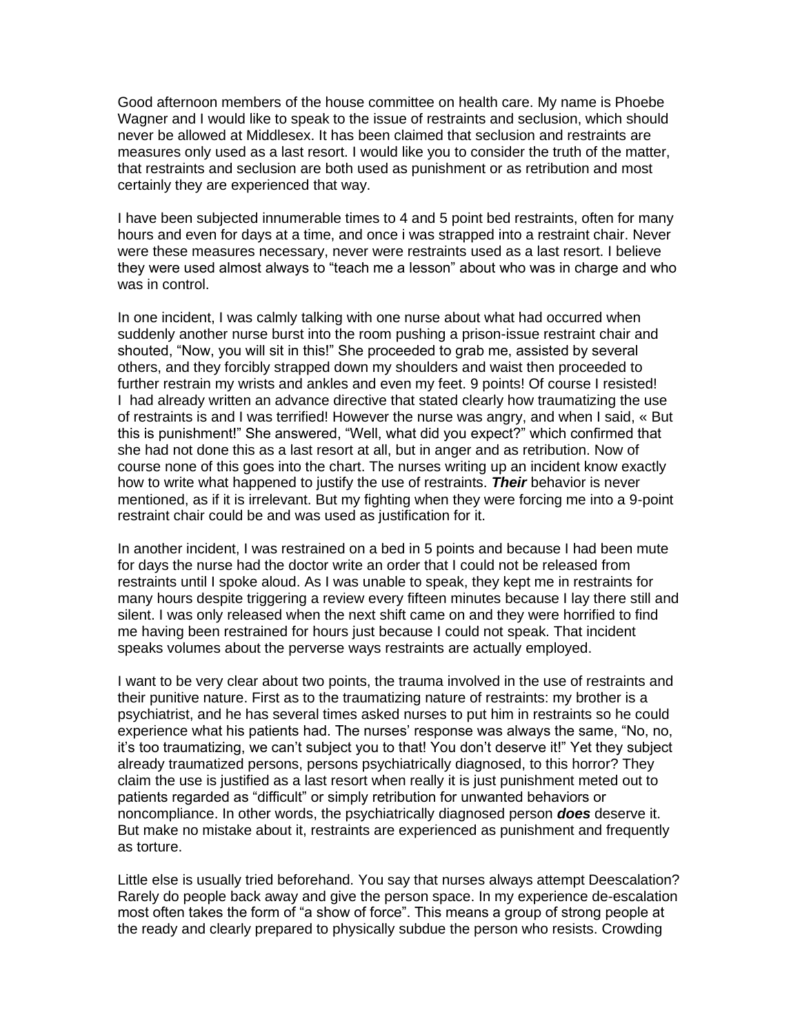Good afternoon members of the house committee on health care. My name is Phoebe Wagner and I would like to speak to the issue of restraints and seclusion, which should never be allowed at Middlesex. It has been claimed that seclusion and restraints are measures only used as a last resort. I would like you to consider the truth of the matter, that restraints and seclusion are both used as punishment or as retribution and most certainly they are experienced that way.

I have been subjected innumerable times to 4 and 5 point bed restraints, often for many hours and even for days at a time, and once i was strapped into a restraint chair. Never were these measures necessary, never were restraints used as a last resort. I believe they were used almost always to "teach me a lesson" about who was in charge and who was in control.

In one incident, I was calmly talking with one nurse about what had occurred when suddenly another nurse burst into the room pushing a prison-issue restraint chair and shouted, "Now, you will sit in this!" She proceeded to grab me, assisted by several others, and they forcibly strapped down my shoulders and waist then proceeded to further restrain my wrists and ankles and even my feet. 9 points! Of course I resisted! I had already written an advance directive that stated clearly how traumatizing the use of restraints is and I was terrified! However the nurse was angry, and when I said, « But this is punishment!" She answered, "Well, what did you expect?" which confirmed that she had not done this as a last resort at all, but in anger and as retribution. Now of course none of this goes into the chart. The nurses writing up an incident know exactly how to write what happened to justify the use of restraints. *Their* behavior is never mentioned, as if it is irrelevant. But my fighting when they were forcing me into a 9-point restraint chair could be and was used as justification for it.

In another incident, I was restrained on a bed in 5 points and because I had been mute for days the nurse had the doctor write an order that I could not be released from restraints until I spoke aloud. As I was unable to speak, they kept me in restraints for many hours despite triggering a review every fifteen minutes because I lay there still and silent. I was only released when the next shift came on and they were horrified to find me having been restrained for hours just because I could not speak. That incident speaks volumes about the perverse ways restraints are actually employed.

I want to be very clear about two points, the trauma involved in the use of restraints and their punitive nature. First as to the traumatizing nature of restraints: my brother is a psychiatrist, and he has several times asked nurses to put him in restraints so he could experience what his patients had. The nurses' response was always the same, "No, no, it's too traumatizing, we can't subject you to that! You don't deserve it!" Yet they subject already traumatized persons, persons psychiatrically diagnosed, to this horror? They claim the use is justified as a last resort when really it is just punishment meted out to patients regarded as "difficult" or simply retribution for unwanted behaviors or noncompliance. In other words, the psychiatrically diagnosed person *does* deserve it. But make no mistake about it, restraints are experienced as punishment and frequently as torture.

Little else is usually tried beforehand. You say that nurses always attempt Deescalation? Rarely do people back away and give the person space. In my experience de-escalation most often takes the form of "a show of force". This means a group of strong people at the ready and clearly prepared to physically subdue the person who resists. Crowding